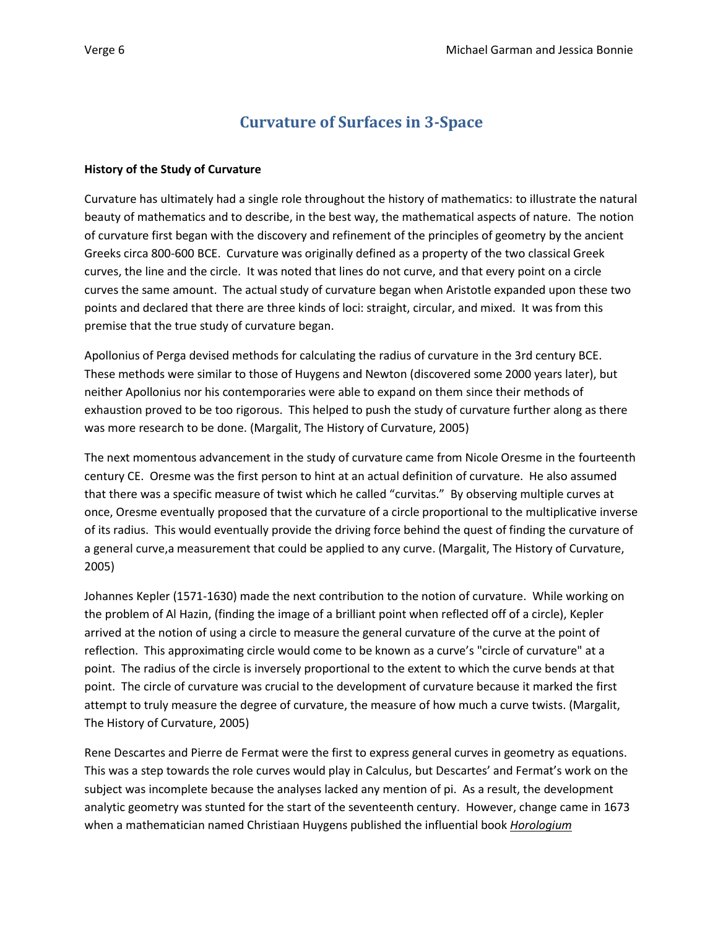# **Curvature of Surfaces in 3-Space**

## **History of the Study of Curvature**

Curvature has ultimately had a single role throughout the history of mathematics: to illustrate the natural beauty of mathematics and to describe, in the best way, the mathematical aspects of nature. The notion of curvature first began with the discovery and refinement of the principles of geometry by the ancient Greeks circa 800-600 BCE. Curvature was originally defined as a property of the two classical Greek curves, the line and the circle. It was noted that lines do not curve, and that every point on a circle curves the same amount. The actual study of curvature began when Aristotle expanded upon these two points and declared that there are three kinds of loci: straight, circular, and mixed. It was from this premise that the true study of curvature began.

Apollonius of Perga devised methods for calculating the radius of curvature in the 3rd century BCE. These methods were similar to those of Huygens and Newton (discovered some 2000 years later), but neither Apollonius nor his contemporaries were able to expand on them since their methods of exhaustion proved to be too rigorous. This helped to push the study of curvature further along as there was more research to be done. (Margalit, The History of Curvature, 2005)

The next momentous advancement in the study of curvature came from Nicole Oresme in the fourteenth century CE. Oresme was the first person to hint at an actual definition of curvature. He also assumed that there was a specific measure of twist which he called "curvitas." By observing multiple curves at once, Oresme eventually proposed that the curvature of a circle proportional to the multiplicative inverse of its radius. This would eventually provide the driving force behind the quest of finding the curvature of a general curve,a measurement that could be applied to any curve. (Margalit, The History of Curvature, 2005)

Johannes Kepler (1571-1630) made the next contribution to the notion of curvature. While working on the problem of Al Hazin, (finding the image of a brilliant point when reflected off of a circle), Kepler arrived at the notion of using a circle to measure the general curvature of the curve at the point of reflection. This approximating circle would come to be known as a curve's "circle of curvature" at a point. The radius of the circle is inversely proportional to the extent to which the curve bends at that point. The circle of curvature was crucial to the development of curvature because it marked the first attempt to truly measure the degree of curvature, the measure of how much a curve twists. (Margalit, The History of Curvature, 2005)

Rene Descartes and Pierre de Fermat were the first to express general curves in geometry as equations. This was a step towards the role curves would play in Calculus, but Descartes' and Fermat's work on the subject was incomplete because the analyses lacked any mention of pi. As a result, the development analytic geometry was stunted for the start of the seventeenth century. However, change came in 1673 when a mathematician named Christiaan Huygens published the influential book *Horologium*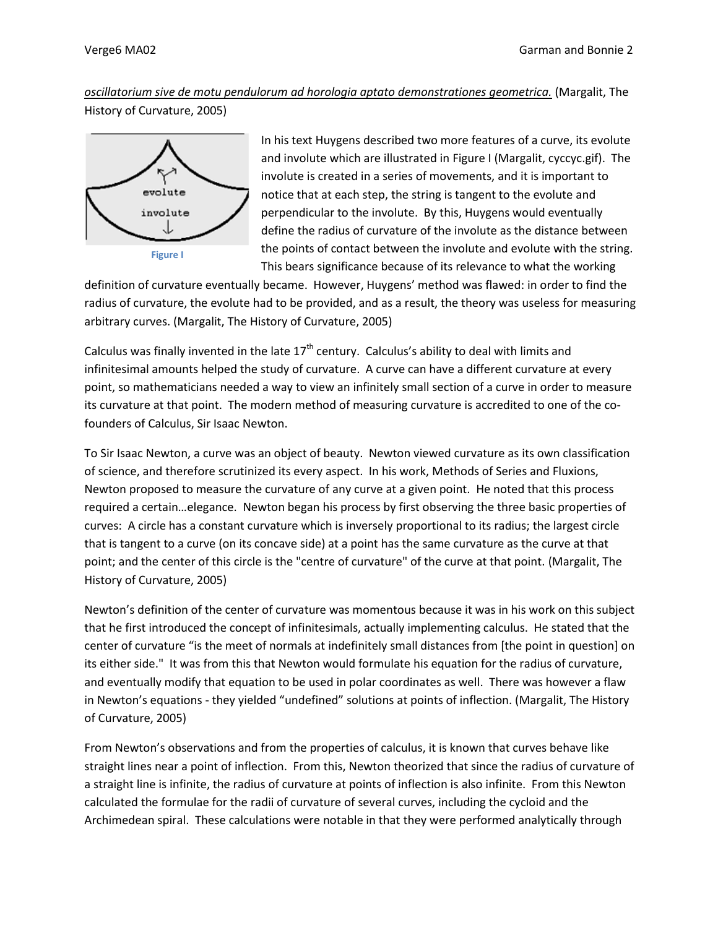*oscillatorium sive de motu pendulorum ad horologia aptato demonstrationes geometrica.* (Margalit, The History of Curvature, 2005)



In his text Huygens described two more features of a curve, its evolute and involute which are illustrated in Figure I (Margalit, cyccyc.gif). The involute is created in a series of movements, and it is important to notice that at each step, the string is tangent to the evolute and perpendicular to the involute. By this, Huygens would eventually define the radius of curvature of the involute as the distance between the points of contact between the involute and evolute with the string. This bears significance because of its relevance to what the working

definition of curvature eventually became. However, Huygens' method was flawed: in order to find the radius of curvature, the evolute had to be provided, and as a result, the theory was useless for measuring arbitrary curves. (Margalit, The History of Curvature, 2005)

Calculus was finally invented in the late  $17<sup>th</sup>$  century. Calculus's ability to deal with limits and infinitesimal amounts helped the study of curvature. A curve can have a different curvature at every point, so mathematicians needed a way to view an infinitely small section of a curve in order to measure its curvature at that point. The modern method of measuring curvature is accredited to one of the cofounders of Calculus, Sir Isaac Newton.

To Sir Isaac Newton, a curve was an object of beauty. Newton viewed curvature as its own classification of science, and therefore scrutinized its every aspect. In his work, Methods of Series and Fluxions, Newton proposed to measure the curvature of any curve at a given point. He noted that this process required a certain…elegance. Newton began his process by first observing the three basic properties of curves: A circle has a constant curvature which is inversely proportional to its radius; the largest circle that is tangent to a curve (on its concave side) at a point has the same curvature as the curve at that point; and the center of this circle is the "centre of curvature" of the curve at that point. (Margalit, The History of Curvature, 2005)

Newton's definition of the center of curvature was momentous because it was in his work on this subject that he first introduced the concept of infinitesimals, actually implementing calculus. He stated that the center of curvature "is the meet of normals at indefinitely small distances from [the point in question] on its either side." It was from this that Newton would formulate his equation for the radius of curvature, and eventually modify that equation to be used in polar coordinates as well. There was however a flaw in Newton's equations - they yielded "undefined" solutions at points of inflection. (Margalit, The History of Curvature, 2005)

From Newton's observations and from the properties of calculus, it is known that curves behave like straight lines near a point of inflection. From this, Newton theorized that since the radius of curvature of a straight line is infinite, the radius of curvature at points of inflection is also infinite. From this Newton calculated the formulae for the radii of curvature of several curves, including the cycloid and the Archimedean spiral. These calculations were notable in that they were performed analytically through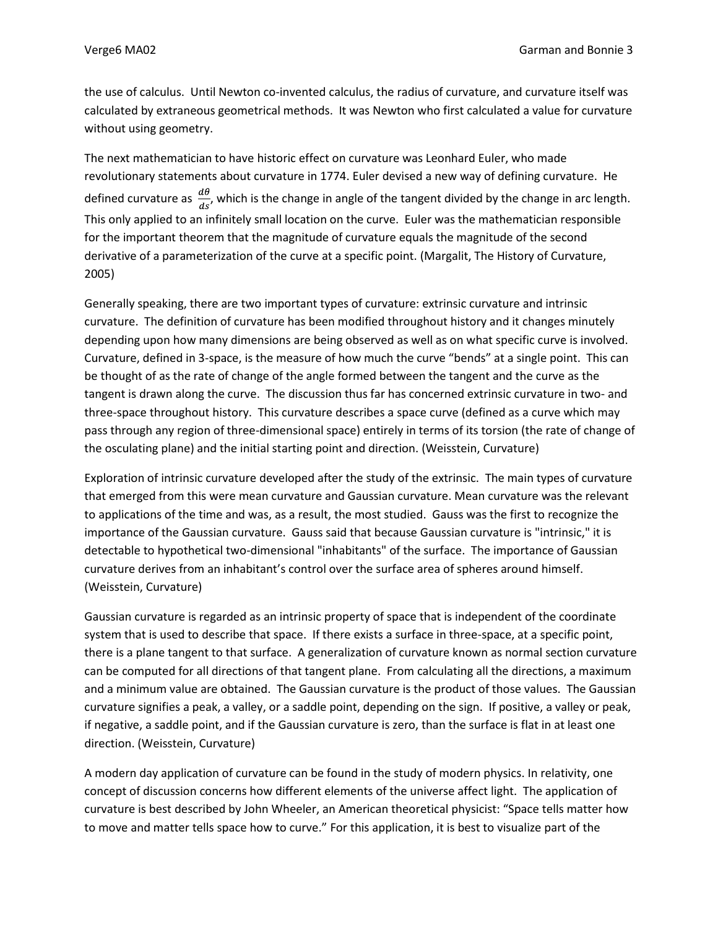the use of calculus. Until Newton co-invented calculus, the radius of curvature, and curvature itself was calculated by extraneous geometrical methods. It was Newton who first calculated a value for curvature without using geometry.

The next mathematician to have historic effect on curvature was Leonhard Euler, who made revolutionary statements about curvature in 1774. Euler devised a new way of defining curvature. He defined curvature as  $\frac{d\theta}{ds}$ , which is the change in angle of the tangent divided by the change in arc length. This only applied to an infinitely small location on the curve. Euler was the mathematician responsible for the important theorem that the magnitude of curvature equals the magnitude of the second derivative of a parameterization of the curve at a specific point. (Margalit, The History of Curvature, 2005)

Generally speaking, there are two important types of curvature: extrinsic curvature and intrinsic curvature. The definition of curvature has been modified throughout history and it changes minutely depending upon how many dimensions are being observed as well as on what specific curve is involved. Curvature, defined in 3-space, is the measure of how much the curve "bends" at a single point. This can be thought of as the rate of change of the angle formed between the tangent and the curve as the tangent is drawn along the curve. The discussion thus far has concerned extrinsic curvature in two- and three-space throughout history. This curvature describes a space curve (defined as a curve which may pass through any region of three-dimensional space) entirely in terms of its torsion (the rate of change of the osculating plane) and the initial starting point and direction. (Weisstein, Curvature)

Exploration of intrinsic curvature developed after the study of the extrinsic. The main types of curvature that emerged from this were mean curvature and Gaussian curvature. Mean curvature was the relevant to applications of the time and was, as a result, the most studied. Gauss was the first to recognize the importance of the Gaussian curvature. Gauss said that because Gaussian curvature is "intrinsic," it is detectable to hypothetical two-dimensional "inhabitants" of the surface. The importance of Gaussian curvature derives from an inhabitant's control over the surface area of spheres around himself. (Weisstein, Curvature)

Gaussian curvature is regarded as an intrinsic property of space that is independent of the coordinate system that is used to describe that space. If there exists a surface in three-space, at a specific point, there is a plane tangent to that surface. A generalization of curvature known as normal section curvature can be computed for all directions of that tangent plane. From calculating all the directions, a maximum and a minimum value are obtained. The Gaussian curvature is the product of those values. The Gaussian curvature signifies a peak, a valley, or a saddle point, depending on the sign. If positive, a valley or peak, if negative, a saddle point, and if the Gaussian curvature is zero, than the surface is flat in at least one direction. (Weisstein, Curvature)

A modern day application of curvature can be found in the study of modern physics. In relativity, one concept of discussion concerns how different elements of the universe affect light. The application of curvature is best described by John Wheeler, an American theoretical physicist: "Space tells matter how to move and matter tells space how to curve." For this application, it is best to visualize part of the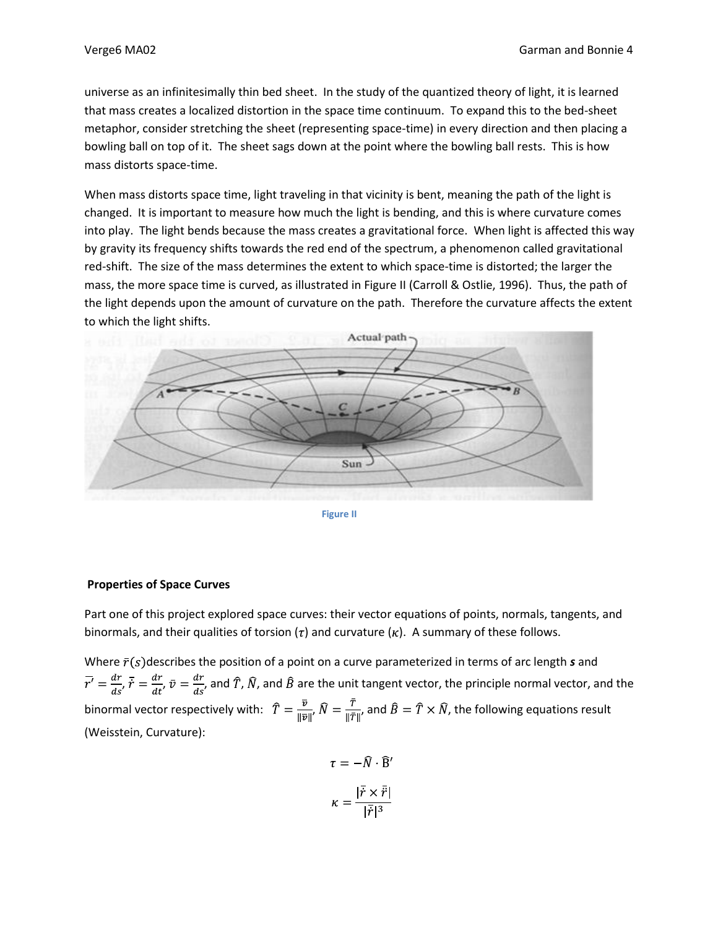universe as an infinitesimally thin bed sheet. In the study of the quantized theory of light, it is learned that mass creates a localized distortion in the space time continuum. To expand this to the bed-sheet metaphor, consider stretching the sheet (representing space-time) in every direction and then placing a bowling ball on top of it. The sheet sags down at the point where the bowling ball rests. This is how mass distorts space-time.

When mass distorts space time, light traveling in that vicinity is bent, meaning the path of the light is changed. It is important to measure how much the light is bending, and this is where curvature comes into play. The light bends because the mass creates a gravitational force. When light is affected this way by gravity its frequency shifts towards the red end of the spectrum, a phenomenon called gravitational red-shift. The size of the mass determines the extent to which space-time is distorted; the larger the mass, the more space time is curved, as illustrated in Figure II (Carroll & Ostlie, 1996). Thus, the path of the light depends upon the amount of curvature on the path. Therefore the curvature affects the extent to which the light shifts.



**Figure II**

## **Properties of Space Curves**

Part one of this project explored space curves: their vector equations of points, normals, tangents, and binormals, and their qualities of torsion ( $\tau$ ) and curvature ( $\kappa$ ). A summary of these follows.

Where  $\bar{r}(s)$  describes the position of a point on a curve parameterized in terms of arc length  $s$  and  $\bar{r'}=\frac{dr}{ds'}\bar{r}=\frac{dr}{dt'}\bar{v}=\frac{dr}{ds'}$ , and  $\hat{T}$ ,  $\hat{N}$ , and  $\hat{B}$  are the unit tangent vector, the principle normal vector, and the binormal vector respectively with:  $\hat{T} = \frac{\bar{v}}{\|\bar{v}\|}$ ,  $\hat{N} = \frac{\bar{T}}{\|\bar{T}\|}$ , and  $\hat{B} = \hat{T} \times \hat{N}$ , the following equations result (Weisstein, Curvature):

$$
\tau = -\hat{N} \cdot \hat{B}'
$$

$$
\kappa = \frac{|\vec{r} \times \vec{r}|}{|\vec{r}|^3}
$$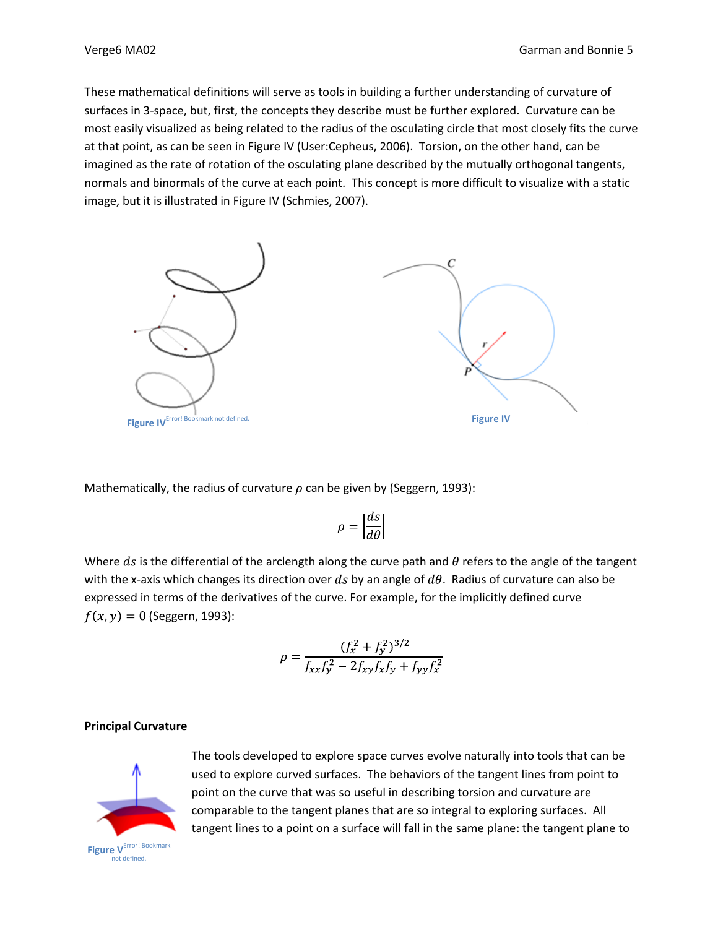These mathematical definitions will serve as tools in building a further understanding of curvature of surfaces in 3-space, but, first, the concepts they describe must be further explored. Curvature can be most easily visualized as being related to the radius of the osculating circle that most closely fits the curve at that point, as can be seen in Figure IV (User:Cepheus, 2006). Torsion, on the other hand, can be imagined as the rate of rotation of the osculating plane described by the mutually orthogonal tangents, normals and binormals of the curve at each point. This concept is more difficult to visualize with a static image, but it is illustrated in Figure IV (Schmies, 2007).



Mathematically, the radius of curvature  $\rho$  can be given by (Seggern, 1993):

$$
\rho = \left|\frac{ds}{d\theta}\right|
$$

Where ds is the differential of the arclength along the curve path and  $\theta$  refers to the angle of the tangent with the x-axis which changes its direction over ds by an angle of  $d\theta$ . Radius of curvature can also be expressed in terms of the derivatives of the curve. For example, for the implicitly defined curve  $f(x, y) = 0$  (Seggern, 1993):

$$
\rho = \frac{(f_x^2 + f_y^2)^{3/2}}{f_{xx}f_y^2 - 2f_{xy}f_xf_y + f_{yy}f_x^2}
$$

## **Principal Curvature**



The tools developed to explore space curves evolve naturally into tools that can be used to explore curved surfaces. The behaviors of the tangent lines from point to point on the curve that was so useful in describing torsion and curvature are comparable to the tangent planes that are so integral to exploring surfaces. All tangent lines to a point on a surface will fall in the same plane: the tangent plane to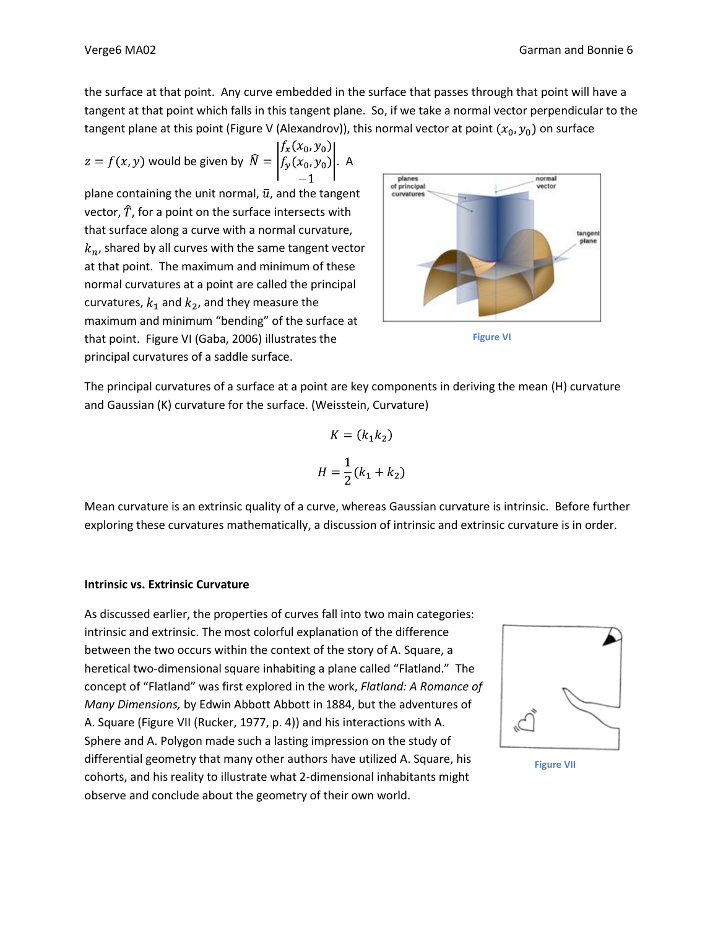the surface at that point. Any curve embedded in the surface that passes through that point will have a tangent at that point which falls in this tangent plane. So, if we take a normal vector perpendicular to the tangent plane at this point (Figure V (Alexandrov)), this normal vector at point  $(x_0, y_0)$  on surface

$$
z = f(x, y) \text{ would be given by } \widehat{N} = \begin{vmatrix} f_x(x_0, y_0) \\ f_y(x_0, y_0) \\ -1 \end{vmatrix}. \text{ A}
$$

plane containing the unit normal,  $\bar{u}$ , and the tangent vector,  $\hat{T}$ , for a point on the surface intersects with that surface along a curve with a normal curvature,  $k_n$ , shared by all curves with the same tangent vector at that point. The maximum and minimum of these normal curvatures at a point are called the principal curvatures,  $k_1$  and  $k_2$ , and they measure the maximum and minimum "bending" of the surface at that point. Figure VI (Gaba, 2006) illustrates the principal curvatures of a saddle surface.





The principal curvatures of a surface at a point are key components in deriving the mean (H) curvature and Gaussian (K) curvature for the surface. (Weisstein, Curvature)

$$
K = (k_1 k_2)
$$

$$
H = \frac{1}{2}(k_1 + k_2)
$$

Mean curvature is an extrinsic quality of a curve, whereas Gaussian curvature is intrinsic. Before further exploring these curvatures mathematically, a discussion of intrinsic and extrinsic curvature is in order.

## **Intrinsic vs. Extrinsic Curvature**

As discussed earlier, the properties of curves fall into two main categories: intrinsic and extrinsic. The most colorful explanation of the difference between the two occurs within the context of the story of A. Square, a heretical two-dimensional square inhabiting a plane called "Flatland." The concept of "Flatland" was first explored in the work, *Flatland: A Romance of Many Dimensions,* by Edwin Abbott Abbott in 1884, but the adventures of A. Square (Figure VII (Rucker, 1977, p. 4)) and his interactions with A. Sphere and A. Polygon made such a lasting impression on the study of differential geometry that many other authors have utilized A. Square, his cohorts, and his reality to illustrate what 2-dimensional inhabitants might observe and conclude about the geometry of their own world.



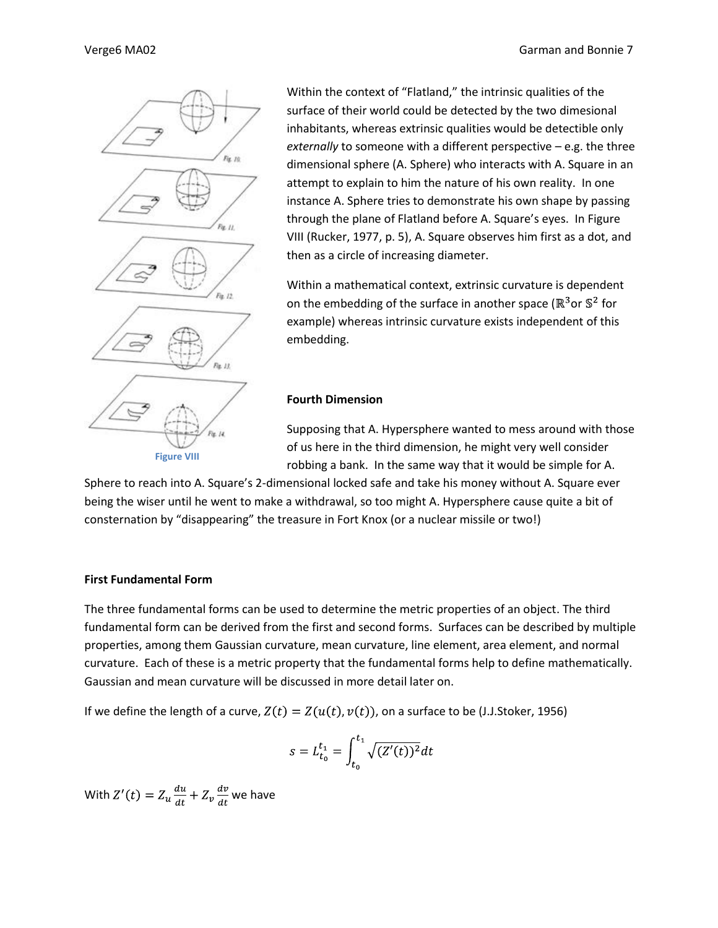

Within the context of "Flatland," the intrinsic qualities of the surface of their world could be detected by the two dimesional inhabitants, whereas extrinsic qualities would be detectible only *externally* to someone with a different perspective – e.g. the three dimensional sphere (A. Sphere) who interacts with A. Square in an attempt to explain to him the nature of his own reality. In one instance A. Sphere tries to demonstrate his own shape by passing through the plane of Flatland before A. Square's eyes. In Figure VIII (Rucker, 1977, p. 5), A. Square observes him first as a dot, and then as a circle of increasing diameter.

Within a mathematical context, extrinsic curvature is dependent on the embedding of the surface in another space ( $\mathbb{R}^3$ or  $\mathbb{S}^2$  for example) whereas intrinsic curvature exists independent of this embedding.

## **Fourth Dimension**

Supposing that A. Hypersphere wanted to mess around with those of us here in the third dimension, he might very well consider robbing a bank. In the same way that it would be simple for A.

Sphere to reach into A. Square's 2-dimensional locked safe and take his money without A. Square ever being the wiser until he went to make a withdrawal, so too might A. Hypersphere cause quite a bit of consternation by "disappearing" the treasure in Fort Knox (or a nuclear missile or two!)

#### **First Fundamental Form**

The three fundamental forms can be used to determine the metric properties of an object. The third fundamental form can be derived from the first and second forms. Surfaces can be described by multiple properties, among them Gaussian curvature, mean curvature, line element, area element, and normal curvature. Each of these is a metric property that the fundamental forms help to define mathematically. Gaussian and mean curvature will be discussed in more detail later on.

If we define the length of a curve,  $Z(t) = Z(u(t), v(t))$ , on a surface to be (J.J.Stoker, 1956)

$$
s = L_{t_0}^{t_1} = \int_{t_0}^{t_1} \sqrt{(Z'(t))^2} dt
$$

With  $Z'(t) = Z_u \frac{du}{dt} + Z_v \frac{dv}{dt}$  we have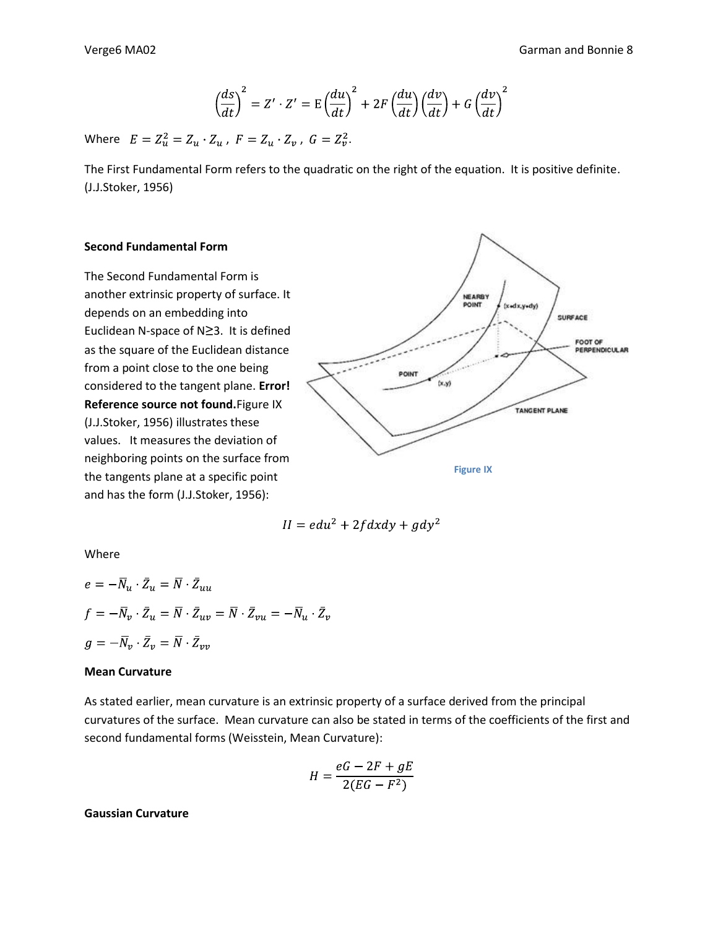$$
\left(\frac{ds}{dt}\right)^2 = Z' \cdot Z' = E\left(\frac{du}{dt}\right)^2 + 2F\left(\frac{du}{dt}\right)\left(\frac{dv}{dt}\right) + G\left(\frac{dv}{dt}\right)^2
$$

Where  $E = Z_u^2 = Z_u \cdot Z_u$ ,  $F = Z_u \cdot Z_v$ ,  $G = Z_v^2$ .

The First Fundamental Form refers to the quadratic on the right of the equation. It is positive definite. (J.J.Stoker, 1956)

#### **Second Fundamental Form**

The Second Fundamental Form is another extrinsic property of surface. It depends on an embedding into Euclidean N-space of N*≥*3. It is defined as the square of the Euclidean distance from a point close to the one being considered to the tangent plane. **Error! Reference source not found.**Figure IX (J.J.Stoker, 1956) illustrates these values. It measures the deviation of neighboring points on the surface from the tangents plane at a specific point and has the form (J.J.Stoker, 1956):



$$
II = edu^2 + 2fdxdy + gdy^2
$$

Where

$$
e = -\overline{N}_u \cdot \overline{Z}_u = \overline{N} \cdot \overline{Z}_{uu}
$$
  

$$
f = -\overline{N}_v \cdot \overline{Z}_u = \overline{N} \cdot \overline{Z}_{uv} = \overline{N} \cdot \overline{Z}_{vu} = -\overline{N}_u \cdot \overline{Z}_v
$$
  

$$
g = -\overline{N}_v \cdot \overline{Z}_v = \overline{N} \cdot \overline{Z}_{vv}
$$

#### **Mean Curvature**

As stated earlier, mean curvature is an extrinsic property of a surface derived from the principal curvatures of the surface. Mean curvature can also be stated in terms of the coefficients of the first and second fundamental forms (Weisstein, Mean Curvature):

$$
H = \frac{eG - 2F + gE}{2(EG - F^2)}
$$

**Gaussian Curvature**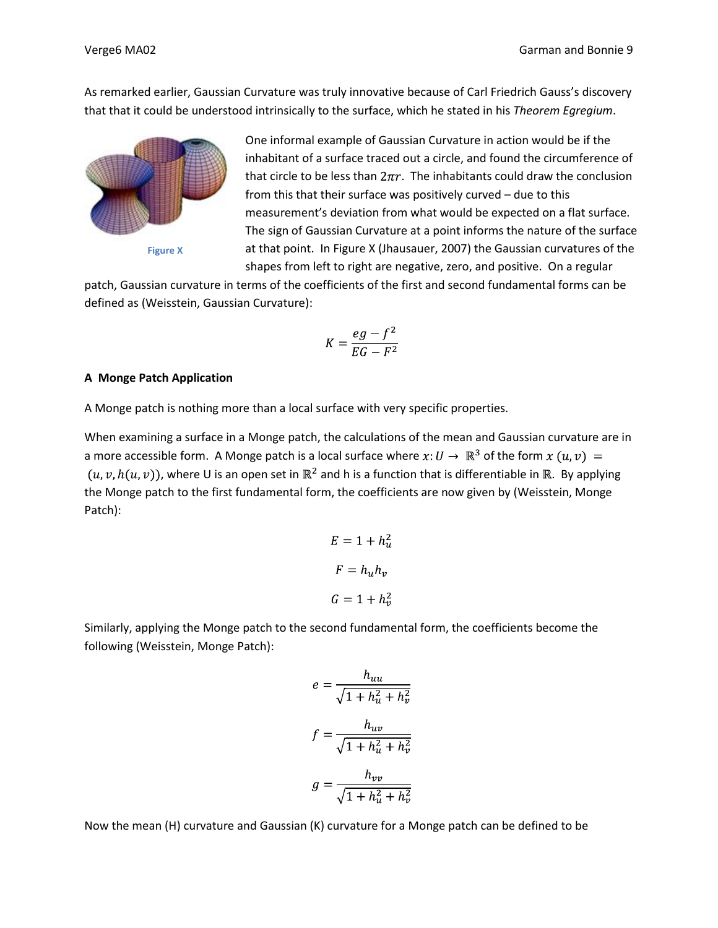As remarked earlier, Gaussian Curvature was truly innovative because of Carl Friedrich Gauss's discovery that that it could be understood intrinsically to the surface, which he stated in his *Theorem Egregium*.



**Figure X**

One informal example of Gaussian Curvature in action would be if the inhabitant of a surface traced out a circle, and found the circumference of that circle to be less than  $2\pi r$ . The inhabitants could draw the conclusion from this that their surface was positively curved – due to this measurement's deviation from what would be expected on a flat surface. The sign of Gaussian Curvature at a point informs the nature of the surface at that point. In Figure X (Jhausauer, 2007) the Gaussian curvatures of the shapes from left to right are negative, zero, and positive. On a regular

patch, Gaussian curvature in terms of the coefficients of the first and second fundamental forms can be defined as (Weisstein, Gaussian Curvature):

$$
K = \frac{eg - f^2}{EG - F^2}
$$

#### **A Monge Patch Application**

A Monge patch is nothing more than a local surface with very specific properties.

When examining a surface in a Monge patch, the calculations of the mean and Gaussian curvature are in a more accessible form. A Monge patch is a local surface where  $x: U \to \mathbb{R}^3$  of the form  $x(u, v) =$  $(u, v, h(u, v))$ , where U is an open set in  $\mathbb{R}^2$  and h is a function that is differentiable in  $\mathbb{R}$ . By applying the Monge patch to the first fundamental form, the coefficients are now given by (Weisstein, Monge Patch):

$$
E = 1 + h_u^2
$$

$$
F = h_u h_v
$$

$$
G = 1 + h_v^2
$$

Similarly, applying the Monge patch to the second fundamental form, the coefficients become the following (Weisstein, Monge Patch):

$$
e = \frac{h_{uu}}{\sqrt{1 + h_{u}^{2} + h_{v}^{2}}}
$$

$$
f = \frac{h_{uv}}{\sqrt{1 + h_{u}^{2} + h_{v}^{2}}}
$$

$$
g = \frac{h_{vv}}{\sqrt{1 + h_{u}^{2} + h_{v}^{2}}}
$$

Now the mean (H) curvature and Gaussian (K) curvature for a Monge patch can be defined to be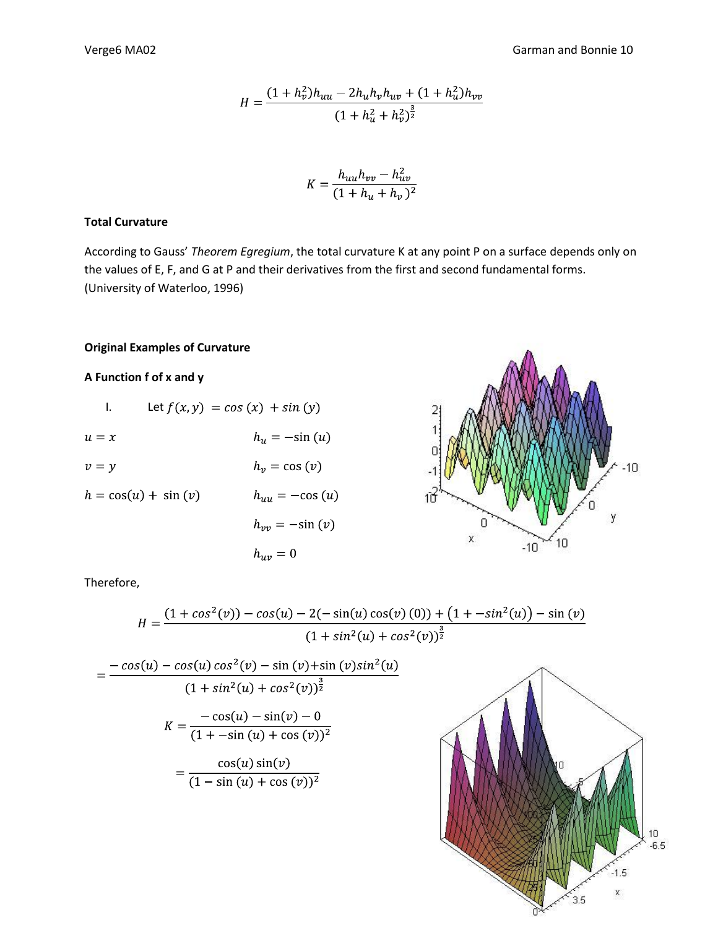$$
H = \frac{(1 + h_v^2)h_{uu} - 2h_u h_v h_{uv} + (1 + h_u^2)h_{vv}}{(1 + h_u^2 + h_v^2)^{\frac{3}{2}}}
$$

$$
K = \frac{h_{uu}h_{vv} - h_{uv}^2}{(1 + h_u + h_v)^2}
$$

## **Total Curvature**

According to Gauss' *Theorem Egregium*, the total curvature K at any point P on a surface depends only on the values of E, F, and G at P and their derivatives from the first and second fundamental forms. (University of Waterloo, 1996)

## **Original Examples of Curvature**

## **A Function f of x and y**

|                       | Let $f(x, y) = cos(x) + sin(y)$ |
|-----------------------|---------------------------------|
| $u = x$               | $h_u = -\sin(u)$                |
| $v = y$               | $h_v = \cos(v)$                 |
| $h = cos(u) + sin(v)$ | $h_{uu} = -\cos(u)$             |
|                       | $h_{vv} = -\sin(v)$             |
|                       |                                 |

 $h_{uv}=0$ 



1.5 X

 $3.5$ 

Therefore,

$$
H = \frac{(1 + \cos^2(v)) - \cos(u) - 2(-\sin(u)\cos(v)(0)) + (1 + -\sin^2(u)) - \sin(v)}{(1 + \sin^2(u) + \cos^2(v))^{\frac{3}{2}}}
$$
  
= 
$$
\frac{-\cos(u) - \cos(u)\cos^2(v) - \sin(v) + \sin(v)\sin^2(u)}{(1 + \sin^2(u) + \cos^2(v))^{\frac{3}{2}}}
$$
  

$$
K = \frac{-\cos(u) - \sin(v) - 0}{(1 + \sin(u) + \cos(v))^2}
$$
  
= 
$$
\frac{\cos(u)\sin(v)}{(1 - \sin(u) + \cos(v))^2}
$$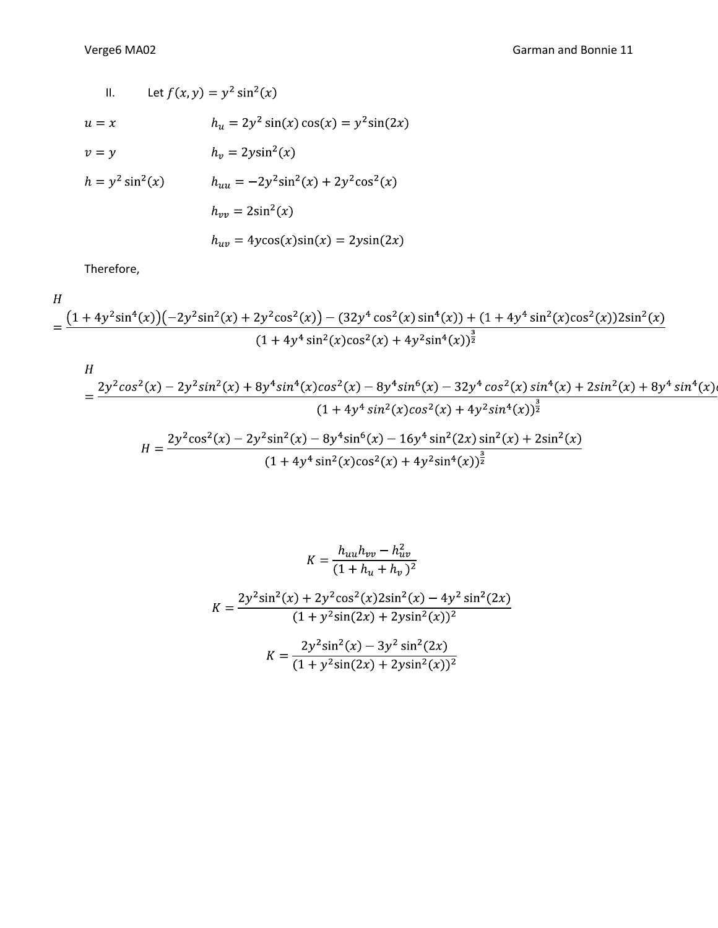II. Let 
$$
f(x, y) = y^2 \sin^2(x)
$$
  
\n $u = x$   $h_u = 2y^2 \sin(x) \cos(x) = y^2 \sin(2x)$   
\n $v = y$   $h_v = 2y \sin^2(x)$   
\n $h = y^2 \sin^2(x)$   $h_{uu} = -2y^2 \sin^2(x) + 2y^2 \cos^2(x)$   
\n $h_{vv} = 2\sin^2(x)$   
\n $h_{uv} = 4y\cos(x)\sin(x) = 2y\sin(2x)$ 

Therefore,

$$
\frac{H}{1 + 4y^2 \sin^4(x) \left(-2y^2 \sin^2(x) + 2y^2 \cos^2(x)\right) - (32y^4 \cos^2(x) \sin^4(x)) + (1 + 4y^4 \sin^2(x) \cos^2(x))2 \sin^2(x)}{(1 + 4y^4 \sin^2(x) \cos^2(x) + 4y^2 \sin^4(x))^\frac{3}{2}}
$$

$$
H = \frac{2y^2\cos^2(x) - 2y^2\sin^2(x) + 8y^4\sin^4(x)\cos^2(x) - 8y^4\sin^6(x) - 32y^4\cos^2(x)\sin^4(x) + 2\sin^2(x) + 8y^4\sin^4(x)}{(1 + 4y^4\sin^2(x)\cos^2(x) + 4y^2\sin^4(x))^{\frac{3}{2}}}
$$

$$
H = \frac{2y^2\cos^2(x) - 2y^2\sin^2(x) - 8y^4\sin^6(x) - 16y^4\sin^2(2x)\sin^2(x) + 2\sin^2(x)}{(1 + 4y^4\sin^2(x)\cos^2(x) + 4y^2\sin^4(x))^{\frac{3}{2}}}
$$

$$
K = \frac{h_{uu}h_{vv} - h_{uv}^2}{(1 + h_u + h_v)^2}
$$

$$
K = \frac{2y^2 \sin^2(x) + 2y^2 \cos^2(x)2\sin^2(x) - 4y^2 \sin^2(2x)}{(1 + y^2 \sin(2x) + 2y \sin^2(x))^2}
$$

$$
K = \frac{2y^2 \sin^2(x) - 3y^2 \sin^2(2x)}{(1 + y^2 \sin(2x) + 2y \sin^2(x))^2}
$$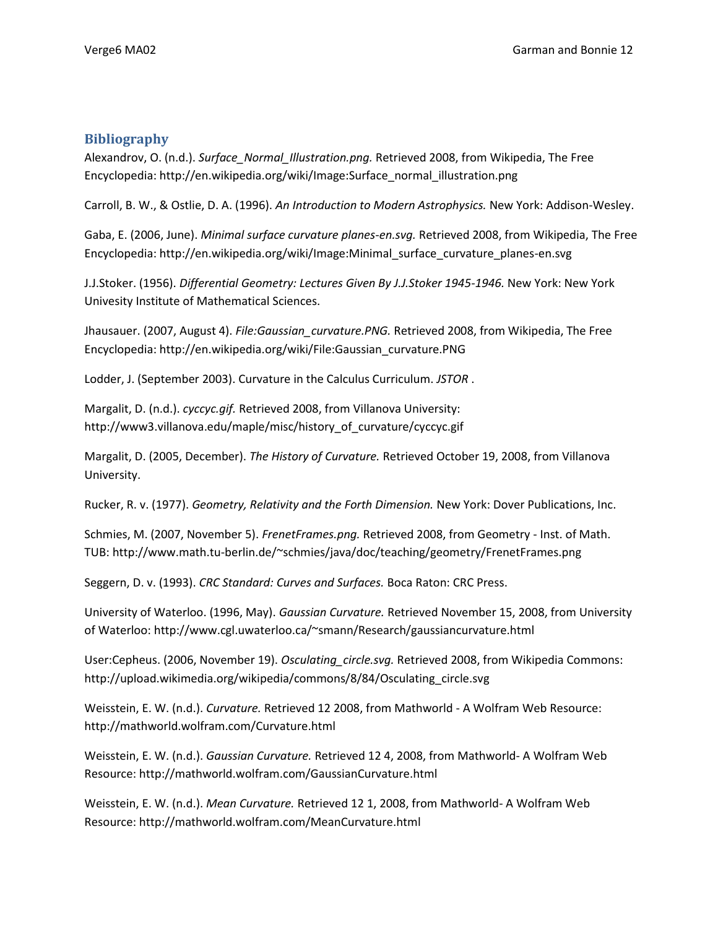## **Bibliography**

Alexandrov, O. (n.d.). *Surface\_Normal\_Illustration.png.* Retrieved 2008, from Wikipedia, The Free Encyclopedia: http://en.wikipedia.org/wiki/Image:Surface\_normal\_illustration.png

Carroll, B. W., & Ostlie, D. A. (1996). *An Introduction to Modern Astrophysics.* New York: Addison-Wesley.

Gaba, E. (2006, June). *Minimal surface curvature planes-en.svg.* Retrieved 2008, from Wikipedia, The Free Encyclopedia: http://en.wikipedia.org/wiki/Image:Minimal\_surface\_curvature\_planes-en.svg

J.J.Stoker. (1956). *Differential Geometry: Lectures Given By J.J.Stoker 1945-1946.* New York: New York Univesity Institute of Mathematical Sciences.

Jhausauer. (2007, August 4). *File:Gaussian\_curvature.PNG.* Retrieved 2008, from Wikipedia, The Free Encyclopedia: http://en.wikipedia.org/wiki/File:Gaussian\_curvature.PNG

Lodder, J. (September 2003). Curvature in the Calculus Curriculum. *JSTOR* .

Margalit, D. (n.d.). *cyccyc.gif.* Retrieved 2008, from Villanova University: http://www3.villanova.edu/maple/misc/history\_of\_curvature/cyccyc.gif

Margalit, D. (2005, December). *The History of Curvature.* Retrieved October 19, 2008, from Villanova University.

Rucker, R. v. (1977). *Geometry, Relativity and the Forth Dimension.* New York: Dover Publications, Inc.

Schmies, M. (2007, November 5). *FrenetFrames.png.* Retrieved 2008, from Geometry - Inst. of Math. TUB: http://www.math.tu-berlin.de/~schmies/java/doc/teaching/geometry/FrenetFrames.png

Seggern, D. v. (1993). *CRC Standard: Curves and Surfaces.* Boca Raton: CRC Press.

University of Waterloo. (1996, May). *Gaussian Curvature.* Retrieved November 15, 2008, from University of Waterloo: http://www.cgl.uwaterloo.ca/~smann/Research/gaussiancurvature.html

User:Cepheus. (2006, November 19). *Osculating\_circle.svg.* Retrieved 2008, from Wikipedia Commons: http://upload.wikimedia.org/wikipedia/commons/8/84/Osculating\_circle.svg

Weisstein, E. W. (n.d.). *Curvature.* Retrieved 12 2008, from Mathworld - A Wolfram Web Resource: http://mathworld.wolfram.com/Curvature.html

Weisstein, E. W. (n.d.). *Gaussian Curvature.* Retrieved 12 4, 2008, from Mathworld- A Wolfram Web Resource: http://mathworld.wolfram.com/GaussianCurvature.html

Weisstein, E. W. (n.d.). *Mean Curvature.* Retrieved 12 1, 2008, from Mathworld- A Wolfram Web Resource: http://mathworld.wolfram.com/MeanCurvature.html